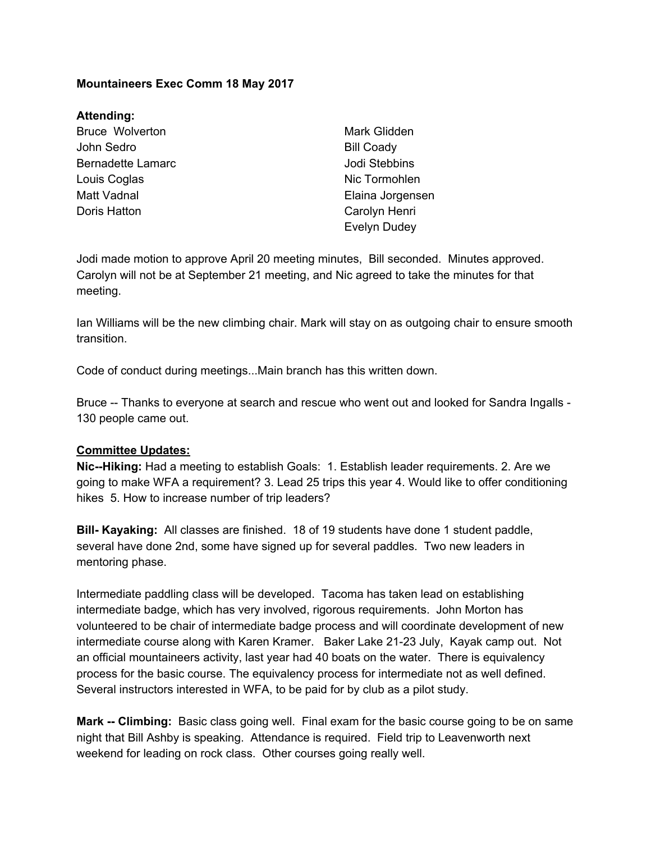## **Mountaineers Exec Comm 18 May 2017**

## **Attending:**

Bruce Wolverton John Sedro Bernadette Lamarc Louis Coglas Matt Vadnal Doris Hatton

Mark Glidden Bill Coady Jodi Stebbins Nic Tormohlen Elaina Jorgensen Carolyn Henri Evelyn Dudey

Jodi made motion to approve April 20 meeting minutes, Bill seconded. Minutes approved. Carolyn will not be at September 21 meeting, and Nic agreed to take the minutes for that meeting.

Ian Williams will be the new climbing chair. Mark will stay on as outgoing chair to ensure smooth transition.

Code of conduct during meetings...Main branch has this written down.

Bruce -- Thanks to everyone at search and rescue who went out and looked for Sandra Ingalls - 130 people came out.

## **Committee Updates:**

**Nic--Hiking:** Had a meeting to establish Goals: 1. Establish leader requirements. 2. Are we going to make WFA a requirement? 3. Lead 25 trips this year 4. Would like to offer conditioning hikes 5. How to increase number of trip leaders?

**Bill- Kayaking:** All classes are finished. 18 of 19 students have done 1 student paddle, several have done 2nd, some have signed up for several paddles. Two new leaders in mentoring phase.

Intermediate paddling class will be developed. Tacoma has taken lead on establishing intermediate badge, which has very involved, rigorous requirements. John Morton has volunteered to be chair of intermediate badge process and will coordinate development of new intermediate course along with Karen Kramer. Baker Lake 21-23 July, Kayak camp out. Not an official mountaineers activity, last year had 40 boats on the water. There is equivalency process for the basic course. The equivalency process for intermediate not as well defined. Several instructors interested in WFA, to be paid for by club as a pilot study.

**Mark -- Climbing:** Basic class going well. Final exam for the basic course going to be on same night that Bill Ashby is speaking. Attendance is required. Field trip to Leavenworth next weekend for leading on rock class. Other courses going really well.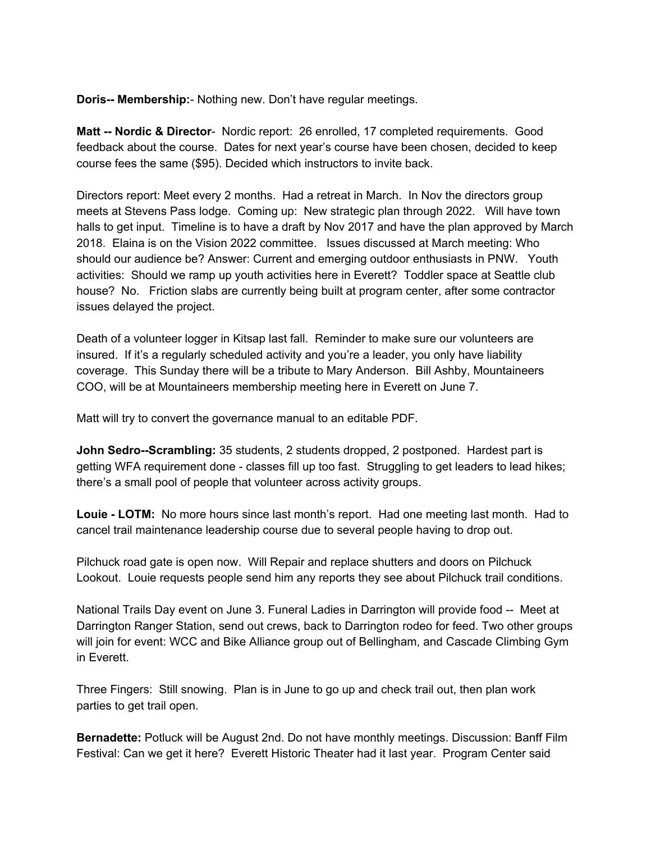**Doris-- Membership:**- Nothing new. Don't have regular meetings.

**Matt -- Nordic & Director**- Nordic report: 26 enrolled, 17 completed requirements. Good feedback about the course. Dates for next year's course have been chosen, decided to keep course fees the same (\$95). Decided which instructors to invite back.

Directors report: Meet every 2 months. Had a retreat in March. In Nov the directors group meets at Stevens Pass lodge. Coming up: New strategic plan through 2022. Will have town halls to get input. Timeline is to have a draft by Nov 2017 and have the plan approved by March 2018. Elaina is on the Vision 2022 committee. Issues discussed at March meeting: Who should our audience be? Answer: Current and emerging outdoor enthusiasts in PNW. Youth activities: Should we ramp up youth activities here in Everett? Toddler space at Seattle club house? No. Friction slabs are currently being built at program center, after some contractor issues delayed the project.

Death of a volunteer logger in Kitsap last fall. Reminder to make sure our volunteers are insured. If it's a regularly scheduled activity and you're a leader, you only have liability coverage. This Sunday there will be a tribute to Mary Anderson. Bill Ashby, Mountaineers COO, will be at Mountaineers membership meeting here in Everett on June 7.

Matt will try to convert the governance manual to an editable PDF.

**John Sedro--Scrambling:** 35 students, 2 students dropped, 2 postponed. Hardest part is getting WFA requirement done - classes fill up too fast. Struggling to get leaders to lead hikes; there's a small pool of people that volunteer across activity groups.

**Louie - LOTM:** No more hours since last month's report. Had one meeting last month. Had to cancel trail maintenance leadership course due to several people having to drop out.

Pilchuck road gate is open now. Will Repair and replace shutters and doors on Pilchuck Lookout. Louie requests people send him any reports they see about Pilchuck trail conditions.

National Trails Day event on June 3. Funeral Ladies in Darrington will provide food -- Meet at Darrington Ranger Station, send out crews, back to Darrington rodeo for feed. Two other groups will join for event: WCC and Bike Alliance group out of Bellingham, and Cascade Climbing Gym in Everett.

Three Fingers: Still snowing. Plan is in June to go up and check trail out, then plan work parties to get trail open.

**Bernadette:** Potluck will be August 2nd. Do not have monthly meetings. Discussion: Banff Film Festival: Can we get it here? Everett Historic Theater had it last year. Program Center said